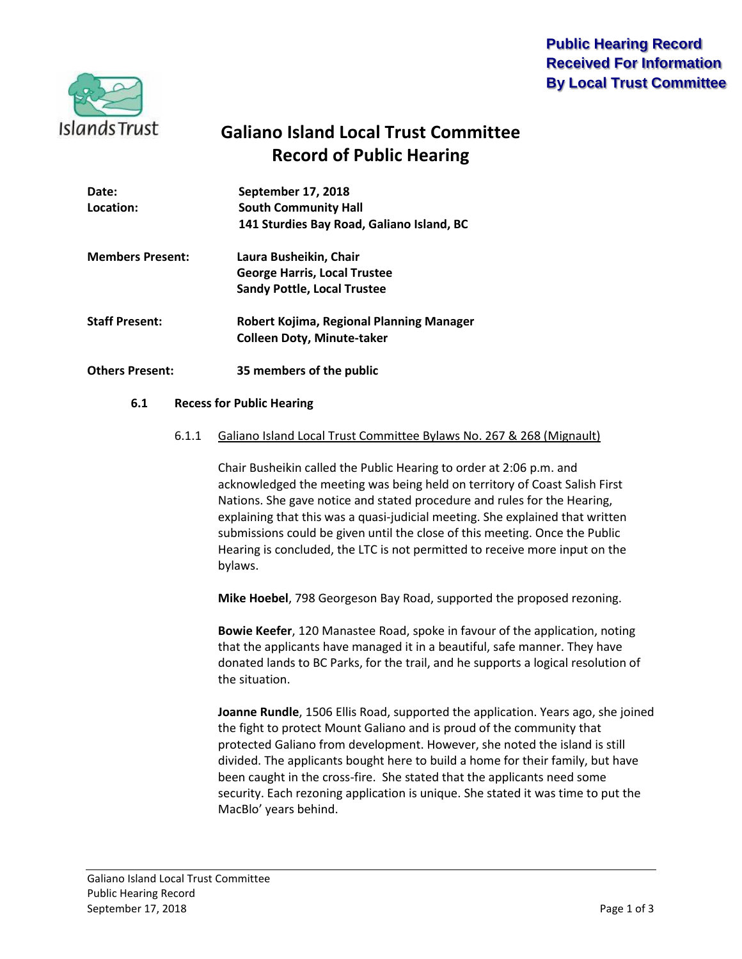## **Public Hearing Record Received For Information By Local Trust Committee**



# **Galiano Island Local Trust Committee Record of Public Hearing**

| Date:<br>Location:      | September 17, 2018<br><b>South Community Hall</b><br>141 Sturdies Bay Road, Galiano Island, BC      |
|-------------------------|-----------------------------------------------------------------------------------------------------|
| <b>Members Present:</b> | Laura Busheikin, Chair<br><b>George Harris, Local Trustee</b><br><b>Sandy Pottle, Local Trustee</b> |
| <b>Staff Present:</b>   | Robert Kojima, Regional Planning Manager<br><b>Colleen Doty, Minute-taker</b>                       |
| <b>Others Present:</b>  | 35 members of the public                                                                            |

#### **6.1 Recess for Public Hearing**

#### 6.1.1 Galiano Island Local Trust Committee Bylaws No. 267 & 268 (Mignault)

Chair Busheikin called the Public Hearing to order at 2:06 p.m. and acknowledged the meeting was being held on territory of Coast Salish First Nations. She gave notice and stated procedure and rules for the Hearing, explaining that this was a quasi-judicial meeting. She explained that written submissions could be given until the close of this meeting. Once the Public Hearing is concluded, the LTC is not permitted to receive more input on the bylaws.

**Mike Hoebel**, 798 Georgeson Bay Road, supported the proposed rezoning.

**Bowie Keefer**, 120 Manastee Road, spoke in favour of the application, noting that the applicants have managed it in a beautiful, safe manner. They have donated lands to BC Parks, for the trail, and he supports a logical resolution of the situation.

**Joanne Rundle**, 1506 Ellis Road, supported the application. Years ago, she joined the fight to protect Mount Galiano and is proud of the community that protected Galiano from development. However, she noted the island is still divided. The applicants bought here to build a home for their family, but have been caught in the cross-fire. She stated that the applicants need some security. Each rezoning application is unique. She stated it was time to put the MacBlo' years behind.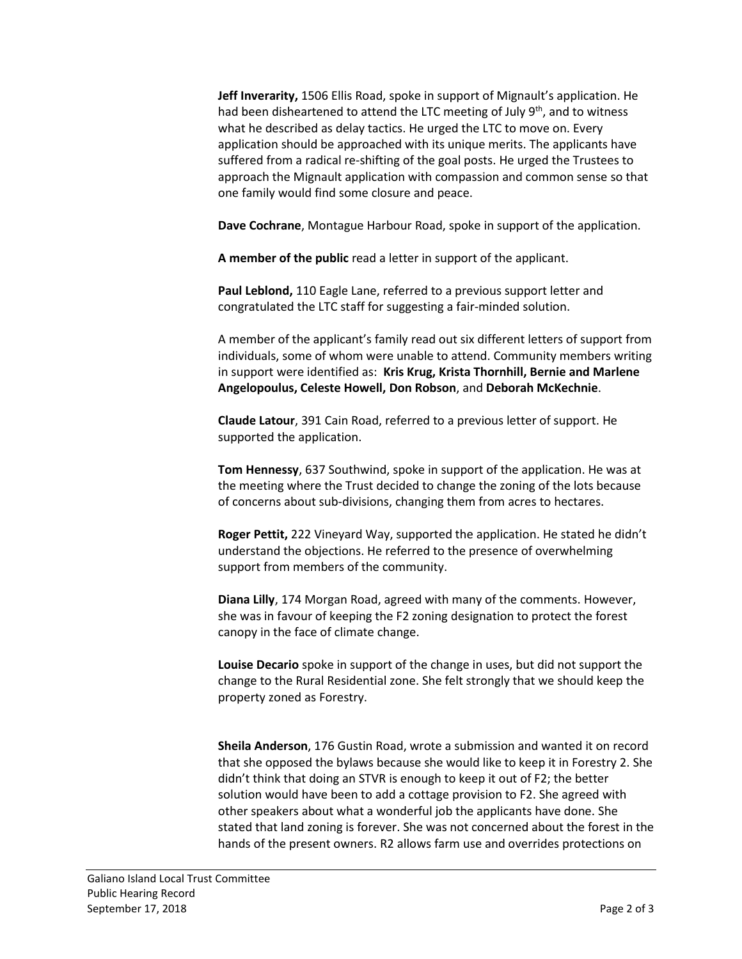**Jeff Inverarity,** 1506 Ellis Road, spoke in support of Mignault's application. He had been disheartened to attend the LTC meeting of July 9<sup>th</sup>, and to witness what he described as delay tactics. He urged the LTC to move on. Every application should be approached with its unique merits. The applicants have suffered from a radical re-shifting of the goal posts. He urged the Trustees to approach the Mignault application with compassion and common sense so that one family would find some closure and peace.

**Dave Cochrane**, Montague Harbour Road, spoke in support of the application.

**A member of the public** read a letter in support of the applicant.

**Paul Leblond,** 110 Eagle Lane, referred to a previous support letter and congratulated the LTC staff for suggesting a fair-minded solution.

A member of the applicant's family read out six different letters of support from individuals, some of whom were unable to attend. Community members writing in support were identified as: **Kris Krug, Krista Thornhill, Bernie and Marlene Angelopoulus, Celeste Howell, Don Robson**, and **Deborah McKechnie**.

**Claude Latour**, 391 Cain Road, referred to a previous letter of support. He supported the application.

**Tom Hennessy**, 637 Southwind, spoke in support of the application. He was at the meeting where the Trust decided to change the zoning of the lots because of concerns about sub-divisions, changing them from acres to hectares.

**Roger Pettit,** 222 Vineyard Way, supported the application. He stated he didn't understand the objections. He referred to the presence of overwhelming support from members of the community.

**Diana Lilly**, 174 Morgan Road, agreed with many of the comments. However, she was in favour of keeping the F2 zoning designation to protect the forest canopy in the face of climate change.

**Louise Decario** spoke in support of the change in uses, but did not support the change to the Rural Residential zone. She felt strongly that we should keep the property zoned as Forestry.

**Sheila Anderson**, 176 Gustin Road, wrote a submission and wanted it on record that she opposed the bylaws because she would like to keep it in Forestry 2. She didn't think that doing an STVR is enough to keep it out of F2; the better solution would have been to add a cottage provision to F2. She agreed with other speakers about what a wonderful job the applicants have done. She stated that land zoning is forever. She was not concerned about the forest in the hands of the present owners. R2 allows farm use and overrides protections on